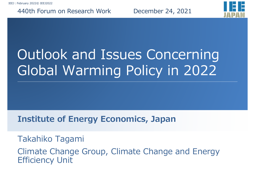#### 440th Forum on Research Work December 24, 2021



# Outlook and Issues Concerning Global Warming Policy in 2022

#### **Institute of Energy Economics, Japan**

#### Takahiko Tagami

Climate Change Group, Climate Change and Energy Efficiency Unit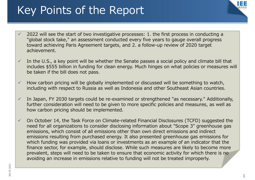### Key Points of the Report



- $\checkmark$  2022 will see the start of two investigative processes: 1. the first process in conducting a "global stock take," an assessment conducted every five years to gauge overall progress toward achieving Paris Agreement targets, and 2. a follow-up review of 2020 target achievement.
- $\checkmark$  In the U.S., a key point will be whether the Senate passes a social policy and climate bill that includes \$555 billion in funding for clean energy. Much hinges on what policies or measures will be taken if the bill does not pass.
- $\checkmark$  How carbon pricing will be globally implemented or discussed will be something to watch, including with respect to Russia as well as Indonesia and other Southeast Asian countries.
- $\checkmark$  In Japan, FY 2030 targets could be re-examined or strengthened "as necessary." Additionally, further consideration will need to be given to more specific policies and measures, as well as how carbon pricing should be implemented.
- $\checkmark$  On October 14, the Task Force on Climate-related Financial Disclosures (TCFD) suggested the need for all organizations to consider disclosing information about "Scope 3" greenhouse gas emissions, which consist of all emissions other than own direct emissions and indirect emissions resulting from purchased energy. It also presented greenhouse gas emissions for which funding was provided via loans or investments as an example of an indicator that the finance sector, for example, should disclose. While such measures are likely to become more prevalent, steps will need to be taken to ensure that economic activity for which there is no avoiding an increase in emissions relative to funding will not be treated improperly.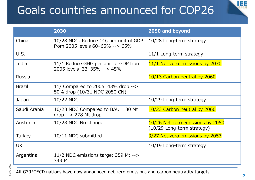## Goals countries announced for COP26



|               | 2030                                                                       | 2050 and beyond                                                  |
|---------------|----------------------------------------------------------------------------|------------------------------------------------------------------|
| China         | 10/28 NDC: Reduce $CO2$ per unit of GDP<br>from 2005 levels 60-65% --> 65% | 10/28 Long-term strategy                                         |
| U.S.          |                                                                            | 11/1 Long-term strategy                                          |
| India         | 11/1 Reduce GHG per unit of GDP from<br>2005 levels 33-35% --> 45%         | 11/1 Net zero emissions by 2070                                  |
| <b>Russia</b> |                                                                            | 10/13 Carbon neutral by 2060                                     |
| <b>Brazil</b> | 11/ Compared to 2005 43% drop --><br>50% drop (10/31 NDC 2050 CN)          |                                                                  |
| Japan         | 10/22 NDC                                                                  | 10/29 Long-term strategy                                         |
| Saudi Arabia  | 10/23 NDC Compared to BAU 130 Mt<br>$drop \rightarrow 278$ Mt drop         | 10/23 Carbon neutral by 2060                                     |
| Australia     | 10/28 NDC No change                                                        | 10/26 Net zero emissions by 2050<br>$(10/29$ Long-term strategy) |
| <b>Turkey</b> | 10/11 NDC submitted                                                        | 9/27 Net zero emissions by 2053                                  |
| <b>UK</b>     |                                                                            | 10/19 Long-term strategy                                         |
| Argentina     | 11/2 NDC emissions target 359 Mt --><br>349 Mt                             |                                                                  |

All G20/OECD nations have now announced net zero emissions and carbon neutrality targets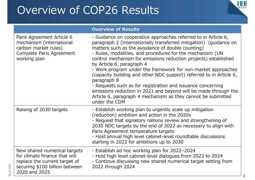### Overview of COP26 Results



|                                                                                                                                                   | <b>Overview of Results</b>                                                                                                                                                                                                                                                                                                                                                                                                                                                                                                                                                                                                                                                                                                     |
|---------------------------------------------------------------------------------------------------------------------------------------------------|--------------------------------------------------------------------------------------------------------------------------------------------------------------------------------------------------------------------------------------------------------------------------------------------------------------------------------------------------------------------------------------------------------------------------------------------------------------------------------------------------------------------------------------------------------------------------------------------------------------------------------------------------------------------------------------------------------------------------------|
| Paris Agreement Article 6<br>mechanism (international<br>carbon market rules)<br>Complete Paris Agreement<br>working plan                         | - Guidance on cooperative approaches referred to in Article 6,<br>paragraph 2 (internationally transferred mitigation) (guidance on<br>matters such as the avoidance of double counting)<br>- Rules, modalities, and procedures for the mechanism (UN<br>control mechanism for emissions reduction projects) established<br>by Article 6, paragraph 4<br>- Work program under the framework for non-market approaches<br>(capacity building and other NDC support) referred to in Article 6,<br>paragraph 8<br>- Requests such as for registration and issuance concerning<br>emissions reduction in 2021 and beyond will be made through the<br>Article 6, paragraph 4 mechanism as they cannot be submitted<br>under the CDM |
| Raising of 2030 targets                                                                                                                           | - Establish working plan to urgently scale up mitigation<br>(reduction) ambition and action in the 2020s<br>- Request that signatory nations review and strengthening of<br>2030 NDC targets by the end of 2022 as necessary to align with<br>Paris Agreement temperature targets<br>- Hold annual high level cabinet-level roundtable discussions<br>starting in 2022 for ambitions up to 2030                                                                                                                                                                                                                                                                                                                                |
| New shared numerical targets<br>for climate finance that will<br>replace the current target of<br>securing \$100 billion between<br>2020 and 2025 | - Establish ad hoc working plan for 2022-2024<br>- Hold high level cabinet-level dialogues from 2022 to 2024<br>- Continue discussing new shared numerical target setting from<br>2022 through 2024                                                                                                                                                                                                                                                                                                                                                                                                                                                                                                                            |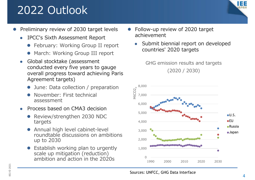### 2022 Outlook



- $\bullet$  Preliminary review of 2030 target levels
	- 0 IPCC's Sixth Assessment Report
		- **February: Working Group II report**
		- March: Working Group III report
	- $\bullet$  Global stocktake (assessment conducted every five years to gauge overall progress toward achieving Paris Agreement targets)
		- $\bullet$ June: Data collection / preparation
		- $\bullet$  November: First technical assessment
	- $\bullet$  Process based on CMA3 decision
		- Review/strengthen 2030 NDC targets
		- $\bullet$  Annual high level cabinet-level roundtable discussions on ambitionsup to 2030
		- $\bullet$  Establish working plan to urgently scale up mitigation (reduction) ambition and action in the 2020s
- $\bullet$  Follow-up review of 2020 target achievement
	- $\bullet$  Submit biennial report on developed countries' 2020 targets

GHG emission results and targets

(2020 / 2030)



 $\overline{\phantom{a}}$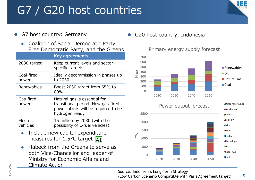## G7 / G20 host countries



- $\bullet$  G7 host country: Germany
	- $\bullet$  Coalition of Social Democratic Party, Free Democratic Party, and the Greens

|                      | <b>Key agreements</b>                                                                                                        |
|----------------------|------------------------------------------------------------------------------------------------------------------------------|
| 2030 target          | Keep current levels and sector-<br>specific targets                                                                          |
| Coal-fired<br>power  | Ideally decommission in phases up<br>to 2030                                                                                 |
| Renewables           | Boost 2030 target from 65% to<br>80%                                                                                         |
| Gas-fired<br>power   | Natural gas is essential for<br>transitional period. New gas-fired<br>power plants will be required to be<br>hydrogen ready. |
| Electric<br>vehicles | 15 million by 2030 (with the<br>possibility of E-fuel vehicles)                                                              |

- $\bullet$  Include new capital expenditure measures for 1.5°C target A1
- $\bullet$  Habeck from the Greens to serve as both Vice-Chancellor and leader of Ministry for Economic Affairs and Climate Action

 $\bullet$ G20 host country: Indonesia



Primary energy supply forecast

Source: Indonesia's Long-Term Strategy (Low Carbon Scenario Compatible with Paris Agreement target)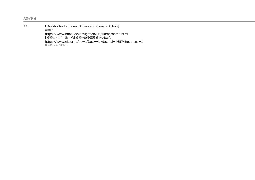| A <sub>1</sub> | [Ministry for Economic Affairs and Climate Action]<br>参考:<br>https://www.bmwi.de/Navigation/EN/Home/home.html<br>「経済エネルギー省」から「経済・気候保護省」へと改組。<br>https://www.eic.or.jp/news/?act=view&serial=46574&oversea=1 |
|----------------|-------------------------------------------------------------------------------------------------------------------------------------------------------------------------------------------------------------|
|----------------|-------------------------------------------------------------------------------------------------------------------------------------------------------------------------------------------------------------|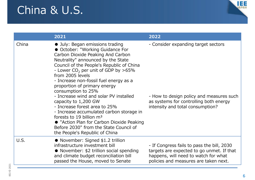#### China & U.S.



|       | 2021                                                                                                                                                                                                                                                                                                                                                                                                                                                                                                                                                                                                                                                           | 2022                                                                                                                                                                     |
|-------|----------------------------------------------------------------------------------------------------------------------------------------------------------------------------------------------------------------------------------------------------------------------------------------------------------------------------------------------------------------------------------------------------------------------------------------------------------------------------------------------------------------------------------------------------------------------------------------------------------------------------------------------------------------|--------------------------------------------------------------------------------------------------------------------------------------------------------------------------|
| China | • July: Began emissions trading<br>• October: "Working Guidance For<br>Carbon Dioxide Peaking And Carbon<br>Neutrality" announced by the State<br>Council of the People's Republic of China<br>- Lower $CO2$ per unit of GDP by >65%<br>from 2005 levels<br>- Increase non-fossil fuel energy as a<br>proportion of primary energy<br>consumption to 25%<br>- Increase wind and solar PV installed<br>capacity to 1,200 GW<br>- Increase forest area to 25%<br>- Increase accumulated carbon storage in<br>forests to 19 billion $m3$<br>• "Action Plan for Carbon Dioxide Peaking<br>Before 2030" from the State Council of<br>the People's Republic of China | - Consider expanding target sectors<br>- How to design policy and measures such<br>as systems for controlling both energy<br>intensity and total consumption?            |
| U.S.  | • November: Signed \$1.2 trillion<br>infrastructure investment bill<br>• November: \$2 trillion social spending<br>and climate budget reconciliation bill<br>passed the House, moved to Senate                                                                                                                                                                                                                                                                                                                                                                                                                                                                 | - If Congress fails to pass the bill, 2030<br>targets are expected to go unmet. If that<br>happens, will need to watch for what<br>policies and measures are taken next. |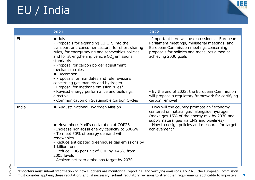## EU / India



|           | 2021                                                                                                                                                                                                                                                                                                                                                                                                                                                                                                                                                        | 2022                                                                                                                                                                                                                                                                                                                                           |
|-----------|-------------------------------------------------------------------------------------------------------------------------------------------------------------------------------------------------------------------------------------------------------------------------------------------------------------------------------------------------------------------------------------------------------------------------------------------------------------------------------------------------------------------------------------------------------------|------------------------------------------------------------------------------------------------------------------------------------------------------------------------------------------------------------------------------------------------------------------------------------------------------------------------------------------------|
| <b>EU</b> | $\bullet$ July<br>- Proposals for expanding EU ETS into the<br>transport and consumer sectors, for effort sharing<br>rules, for energy saving and renewables policies,<br>and for strengthening vehicle $CO2$ emissions<br>standards<br>- Proposal for carbon border adjustment<br>mechanism rules<br>• December<br>- Proposals for mandates and rule revisions<br>concerning gas markets and hydrogen<br>- Proposal for methane emission rules*<br>- Revised energy performance and buildings<br>directive<br>- Communication on Sustainable Carbon Cycles | - Important here will be discussions at European<br>Parliament meetings, ministerial meetings, and<br>European Commission meetings concerning<br>proposals for policies and measures aimed at<br>achieving 2030 goals<br>- By the end of 2022, the European Commission<br>will propose a regulatory framework for certifying<br>carbon removal |
| India     | • August: National Hydrogen Mission<br>• November: Modi's declaration at COP26<br>- Increase non-fossil energy capacity to 500GW<br>- To meet 50% of energy demand with<br>renewables<br>- Reduce anticipated greenhouse gas emissions by<br>1 billion tons<br>- Reduce GHG per unit of GDP by >45% from<br>2005 levels<br>- Achieve net zero emissions target by 2070                                                                                                                                                                                      | - How will the country promote an "economy"<br>centered on natural gas" alongside hydrogen<br>(make gas 15% of the energy mix by 2030 and<br>supply natural gas via CNG and pipelines)<br>- How to design policies and measures for target<br>achievement?                                                                                     |

\*Importers must submit information on how suppliers are monitoring, reporting, and verifying emissions. By 2025, the European Commission must consider applying these regulations and, if necessary, submit regulatory revisions to strengthen requirements applicable to importers.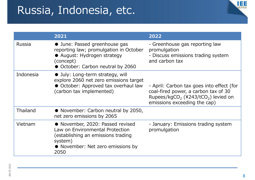#### Russia, Indonesia, etc.



|                 | 2021                                                                                                                                                              | 2022                                                                                                                                                                             |
|-----------------|-------------------------------------------------------------------------------------------------------------------------------------------------------------------|----------------------------------------------------------------------------------------------------------------------------------------------------------------------------------|
| Russia          | • June: Passed greenhouse gas<br>reporting law; promulgation in October<br>· August: Hydrogen strategy<br>(concept)<br>• October: Carbon neutral by 2060          | - Greenhouse gas reporting law<br>promulgation<br>- Discuss emissions trading system<br>and carbon tax                                                                           |
| Indonesia       | • July: Long-term strategy, will<br>explore 2060 net zero emissions target<br>• October: Approved tax overhaul law<br>(carbon tax implemented)                    | - April: Carbon tax goes into effect (for<br>coal-fired power, a carbon tax of 30<br>Rupees/kgCO <sub>2</sub> (¥243/tCO <sub>2</sub> ) levied on<br>emissions exceeding the cap) |
| <b>Thailand</b> | • November: Carbon neutral by 2050,<br>net zero emissions by 2065                                                                                                 |                                                                                                                                                                                  |
| Vietnam         | • November, 2020: Passed revised<br>Law on Environmental Protection<br>(establishing an emissions trading<br>system)<br>• November: Net zero emissions by<br>2050 | - January: Emissions trading system<br>promulgation                                                                                                                              |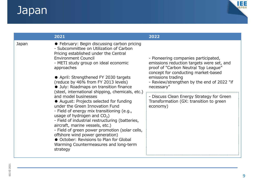### Japan



|       | 2021                                                                                                                                                                                                                                                                                                                                                                                                                                                                                                                                                                                                                                                                                                                                                                                                                                                              | 2022                                                                                                                                                                                                                                                                                                                                                  |
|-------|-------------------------------------------------------------------------------------------------------------------------------------------------------------------------------------------------------------------------------------------------------------------------------------------------------------------------------------------------------------------------------------------------------------------------------------------------------------------------------------------------------------------------------------------------------------------------------------------------------------------------------------------------------------------------------------------------------------------------------------------------------------------------------------------------------------------------------------------------------------------|-------------------------------------------------------------------------------------------------------------------------------------------------------------------------------------------------------------------------------------------------------------------------------------------------------------------------------------------------------|
| Japan | • February: Begin discussing carbon pricing<br>- Subcommittee on Utilization of Carbon<br>Pricing established under the Central<br><b>Environment Council</b><br>- METI study group on ideal economic<br>approaches<br>• April: Strengthened FY 2030 targets<br>(reduce by 46% from FY 2013 levels)<br>· July: Roadmaps on transition finance<br>(steel, international shipping, chemicals, etc.)<br>and model businesses<br>• August: Projects selected for funding<br>under the Green Innovation Fund<br>- Field of energy mix transitioning (e.g.,<br>usage of hydrogen and $CO2$ )<br>- Field of industrial restructuring (batteries,<br>aircraft, marine vessels, etc.)<br>- Field of green power promotion (solar cells,<br>offshore wind power generation)<br>• October: Revisions to Plan for Global<br>Warming Countermeasures and long-term<br>strategy | - Pioneering companies participated,<br>emissions reduction targets were set, and<br>proof of "Carbon Neutral Top League"<br>concept for conducting market-based<br>emissions trading<br>- Review/strengthen by the end of 2022 "if<br>necessary"<br>- Discuss Clean Energy Strategy for Green<br>Transformation (GX: transition to green<br>economy) |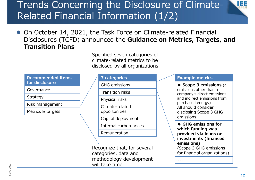#### Trends Concerning the Disclosure of Climate-Related Financial Information (1/2)

• On October 14, 2021, the Task Force on Climate-related Financial Disclosures (TCFD) announced the **Guidance on Metrics, Targets, and Transition Plans**

> Specified seven categories of climate-related metrics to be disclosed by all organizations

#### **Recommended items for disclosure**

Governance

Strategy

Risk management

Metrics & targets

#### **7 categories**

GHG emissions

Transition risks

Physical risks

Climate-related opportunities

Capital deployment

Internal carbon prices

Remuneration

Recognize that, for several categories, data and methodology development will take time

#### **Example metrics**

**● Scope 3 emissions** (all emissions other than a company's direct emissions and indirect emissions from purchased energy) All should consider disclosing Scope 3 GHG emissions

**● GHG emissions for which funding was provided via loans or investments (financed emissions)** (Scope 3 GHG emissions for financial organizations)

・・・

IĦ